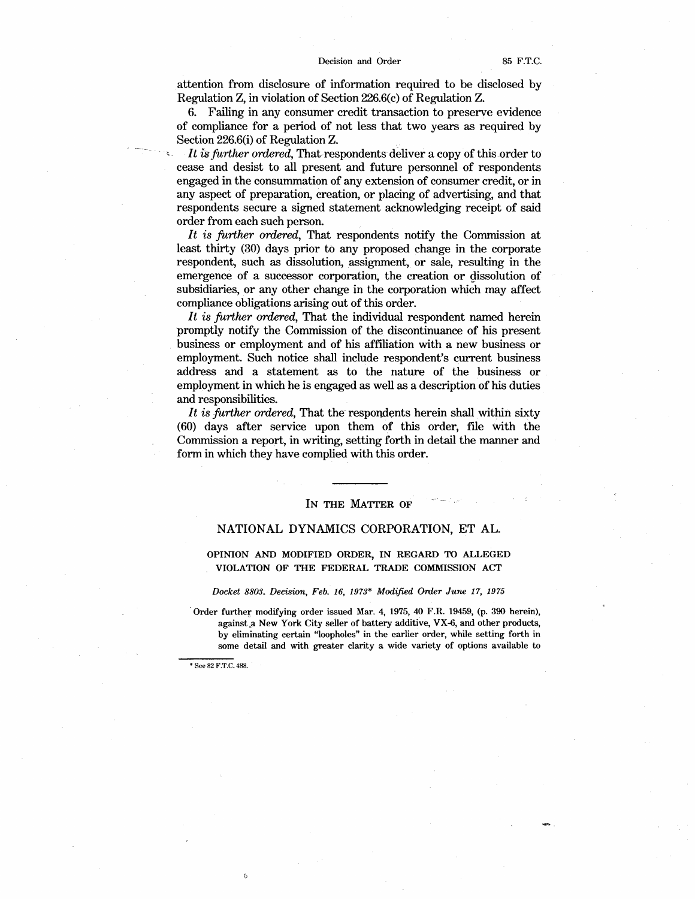attention from disclosure of information required to be disclosed by Regulation **Z, in** violation of Section 226.6(c) of Regulation Z.

6. Failing in any consumer credit transaction to preserve evidence of compliance for a period of not less that two years as required by Section 226.6(i) of Regulation Z.

*It is further ordered,* That-respondents deliver a copy of this order to cease and desist to all present and future personnel of respondents engaged in the consummation of any extension of consumer credit, or in any aspect of preparation, creation, or placing of advertising, and that respondents secure a signed statement acknowledging receipt of said order from each such person.

*It is further ordered,* That respondents notify the Commission at least thirty (30) days prior to any proposed change in the corporate respondent, such as dissolution, assignment, or sale, resulting in the emergence of a successor corporation, the creation or dissolution of subsidiaries, or any other change in the corporation which may affect compliance obligations arising out of this order.

*It is further ordered,* That the individual respondent named herein promptly notify the Commission of the discontinuance of his present business or employment and of his affiliation with a new business or employment. Such notice shall include respondent's current business address and a statement as to the nature of the business or employment in which he is engaged as well as a description of his duties and responsibilities.

It is further ordered, That the respondents herein shall within sixty (60) days after service upon them of this order, file with the Commission a report, in writing, setting forth in detail the manner and form in which they have complied with this order.

## **IN THE MATTER OF**

# NATIONAL DYNAMICS CORPORATION, ET AL.

# **OPINION AND MODIFIED ORDER, IN REGARD TO ALLEGED VIOLATION OF THE FEDERAL TRADE COMMISSION ACT**

#### *Docket 8803. Decision, Feb. 16, 1973\* Modified Order June 17, 1975*

·Order further modifying order issued Mar. 4, 1975, 40 F.R. 19459, (p. 390 herein), against a New York City seller of battery additive, VX-6, and other products, by eliminating certain "loopholes" in the earlier order, while setting forth in some detail and with greater clarity a wide variety of options available to

\* See 82 F.T.C. 488.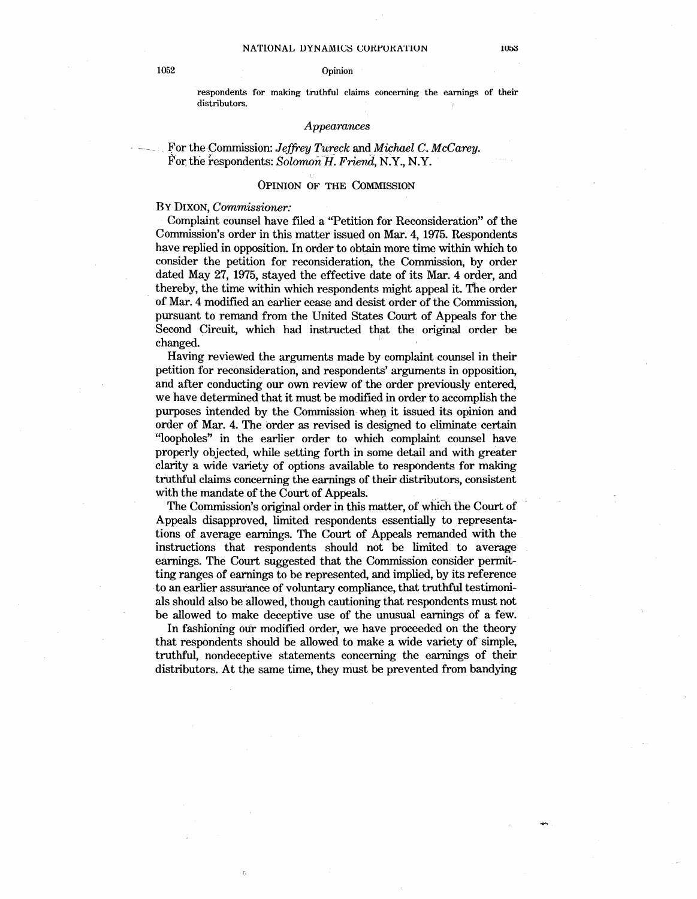respondents for making truthful claims concerning the earnings of their distributors.

## *Appearances*

For the Commission: *Jeffrey Tureck* and *Michael C. McCarey.* For the respondents: *Solomon H. Friend*, N.Y., N.Y.

## **OPINION** OF THE COMMISSION

BY DIXON, *Commissioner:* 

Complaint counsel have filed a "Petition for Reconsideration" of the Commission's order in this matter issued on Mar. 4, 1975. Respondents have replied in opposition. In order to obtain more time within which to consider the petition for reconsideration, the Commission, by order dated May 27, 1975, stayed the effective date of its Mar. 4 order, and thereby, the time within which respondents might appeal it. The order of Mar. 4 modified an earlier cease and desist order of the Commission, pursuant to remand from the United States Court of Appeals for the Second Circuit, which had instructed that the original order be changed.

Having reviewed the arguments made by complaint counsel in their petition for reconsideration, and respondents' arguments in opposition, and after conducting our own review of the order previously entered, we have determined that it must be modified in order to accomplish the purposes intended by the Commission-when it issued its opinion and order of Mar. 4. The order as revised is designed to eliminate certain "loopholes" in the earlier order to which complaint counsel have properly objected, while setting forth in some detail and with greater clarity a wide variety of options available to respondents for making truthful claims concerning the earnings of their distributors, consistent with the mandate of the Court of Appeals.

The Commission's original order in this matter, of which the Court of Appeals disapproved, limited respondents essentially to representations of average earnings. The Court of Appeals remanded with the instructions that respondents should not be limited to average earnings. The Court suggested that the Commission consider permitting ranges of earnings to be represented, and implied, by its reference -to an earlier assurance of voluntary compliance, that truthful testimonials should also be allowed, though cautioning that respondents must not be allowed to make deceptive use of the unusual earnings of a few.

In fashioning our modified order, we have proceeded on the theory that respondents should be allowed to make a wide variety of simple, truthful, nondeceptive statements concerning the earnings of their distributors. At the same time, they must be prevented from bandying

 $\epsilon$ 

1053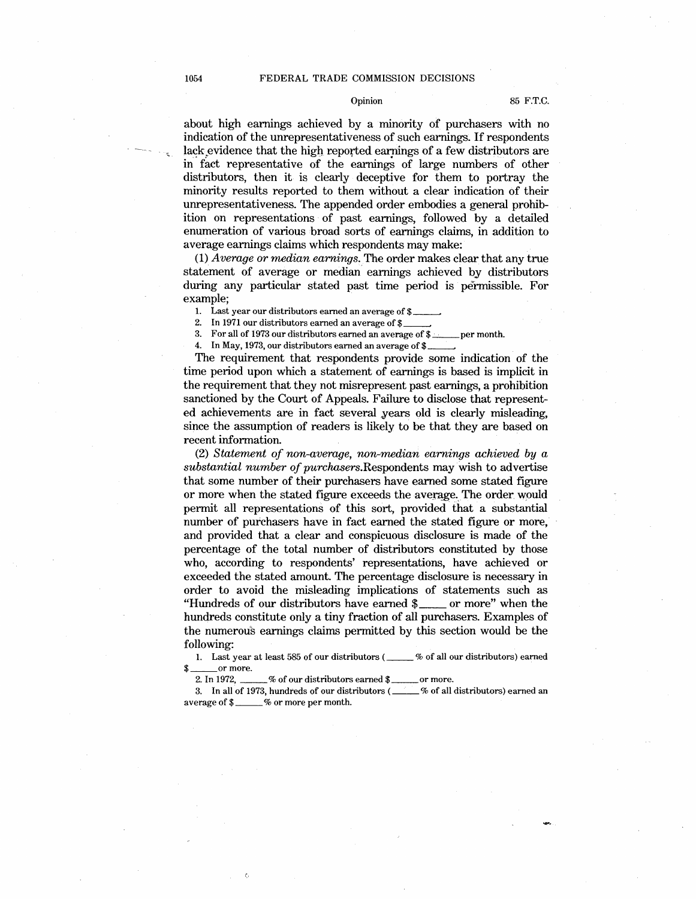### 1054 FEDERAL TRADE COMMISSION DECISIONS

# Opinion 85 F.T.C.

about high earnings achieved by a minority of purchasers with no indication of the unrepresentativeness of such earnings. If respondents lack evidence that the high reported earnings of a few distributors are in fact representative of the earnings of large numbers of other distributors, then it is clearly deceptive for them to portray the minority results reported to them without a clear indication of their unrepresentativeness. The appended order embodies a general prohibition on representations of past earnings, followed by a detailed enumeration of various broad sorts of earnings claims, in addition to average earnings claims which respondents may make:

(1) *Average or median earnings.* The order makes clear that any true statement of average or median earnings achieved by distributors during any particular stated past time period is permissible. For example;

1. Last year our distributors earned an average of  $$~$ 

2. In 1971 our distributors earned an average of \$3. For all of 1973 our distributors earned an average

3. For all of 1973 our distributors earned an average of  $\frac{1}{2}$  per month.<br>4. In May, 1973, our distributors earned an average of  $\frac{1}{2}$ 

In May, 1973, our distributors earned an average of  $$~\perp$ 

The requirement that respondents provide some indication of the time period upon which a statement of earnings is based is implicit in the requirement that they not misrepresent past earnings, a prohibition sanctioned by the Court of Appeals. Failure to disclose that represented achievements are in fact several years old is clearly misleading, since the assumption of readers is likely to be that they are based on recent information.

(2) *Statement of non-average, non-median earnings achieved by a substantial number of* purchasers.Respondents may wish to advertise that some number of their purchasers have earned some stated figure or more when the stated figure exceeds the average. The order would permit all representations of this sort, provided that a substantial number of purchasers have in fact earned the stated figure or more, and provided that a clear and conspicuous disclosure is made of the percentage of the total number of distributors constituted by those who, according to respondents' representations, have achieved or exceeded the stated amount. The percentage disclosure is necessary in order to avoid the misleading implications of statements such as "Hundreds of our distributors have earned \$<sub>\_\_\_</sub>\_\_\_ or more" when the hundreds constitute only a tiny fraction of all purchasers. Examples of the numerous earnings claims permitted by this section would be the following:

llowing:<br>1. Last year at least 585 of our distributors ( \_\_\_\_\_\_ % of all our distributors) earned \$ \_\_or more. or more.<br>2. In 1972, \_\_\_\_\_% of our distributors earned \$ \_\_\_\_\_\_\_ or more.

2. In 1972, \_\_\_\_\_% of our distributors earned \$\_\_\_\_\_\_\_ or more.<br>3. In all of 1973, hundreds of our distributors (\_\_\_\_\_% of all distributors) earned an 3. In all of 1973, hundreds of our dist:<br>average of \$\_\_\_\_\_% or more per month.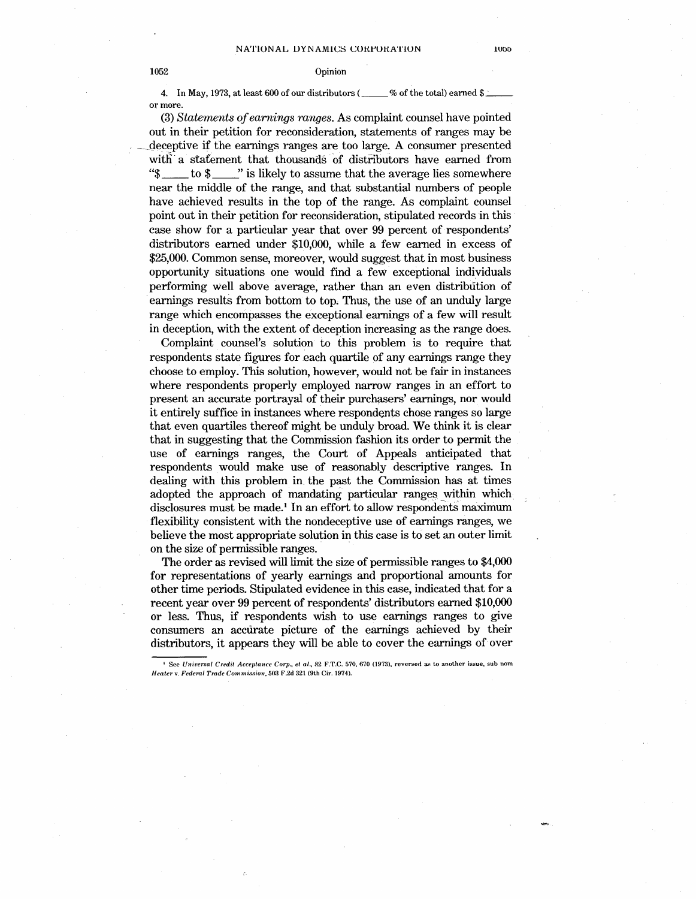# 1052 Opinion

4. In May, 1973, at least 600 of our distributors ( $\_\_\_\_\%$  of the total) earned \$ or more.

(3) *Statements ofearnings ranges.* As complaint counsel have pointed out in their petition for reconsideration, statements of ranges may be deceptive if the earnings ranges are too large. A consumer presented with a statement that thousands of distributors have earned from " $\frac{1}{3}$  to  $\frac{1}{3}$  " is likely to assume that the average lies somewhere  $\mathbb{Z}$ " is likely to assume that the average lies somewhere near the middle of the range, and that substantial numbers of people have achieved results in the top of the range. As complaint counsel point out in their petition for reconsideration, stipulated records in this case show for a particular year that over 99 percent of respondents' distributors earned under \$10,000, while a few earned in excess of \$25,000. Common sense, moreover, would suggest that in most business opportunity situations one would find a few exceptional individuals performing well above average, rather than an even distribution of earnings results from bottom to top. Thus, the use of an unduly large range which encompasses the exceptional earnings of a few will result in deception, with the extent of deception increasing as the range does.

Complaint counsel's solution to this problem is to require that respondents state figures for each quartile of any earnings range they choose to employ. This solution, however, would not be fair in instances where respondents properly employed narrow ranges in an effort to present an accurate portrayal of their purchasers' earnings, nor would it entirely suffice in instances where respondents chose ranges so large that even quartiles thereof might be unduly broad. We think it is clear that in suggesting that the Commission fashion its order to permit the use of earnings ranges, the Court of Appeals anticipated that respondents would make use of reasonably descriptive ranges. In dealing with this problem in. the past the Commission has at times adopted the approach of mandating particular ranges within which. disclosures must be made.<sup>1</sup> In an effort to allow respondents maximum flexibility consistent with the nondeceptive use of earnings ranges, we believe the most appropriate solution in this case is to set an outer limit on the size of permissible ranges.

The order as revised will limit the size of permissible ranges to \$4,000 for representations of yearly earnings and proportional amounts for other time periods. Stipulated evidence in this case, indicated that for a recent year over 99 percent of respondents' distributors earned \$10,000 or less. Thus, if respondents wish to use earnings ranges to give consumers an accurate picture of the earnings achieved by their distributors, it appears they will be able to cover the earnings of over

<sup>&</sup>lt;sup>1</sup> See *Universal Credit Acceptance Corp., et al.*, 82 F.T.C. 570, 670 (1973), reversed as to another issue, sub nom *Heater v. Federal Trade Commission, 503 F 2d 321 (9th Cir. 1974).*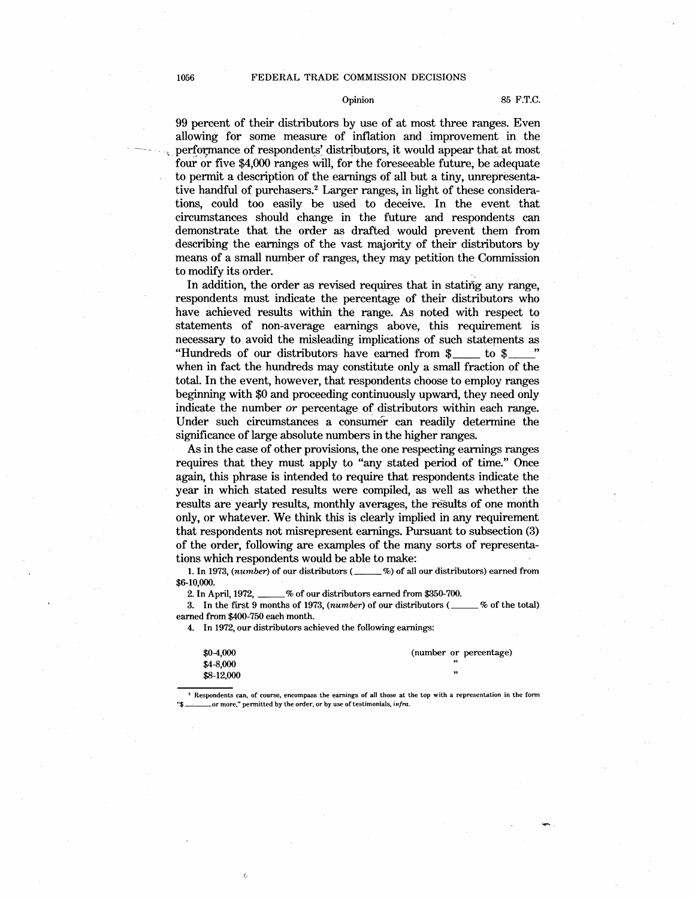## 1056 FEDERAL TRADE COMMISSION DECISIONS

# Opinion 85 F.T.C.

99 percent of their distributors by use of at most three ranges. Even allowing for some measure of inflation and improvement in the performance of respondents' distributors, it would appear that at most four or five \$4,000 ranges will, for the foreseeable future, be adequate to permit a description of the earnings of all but a tiny, unrepresentative handful of purchasers.<sup>2</sup> Larger ranges, in light of these considerations, could too easily be used to deceive. In the event that circumstances should change in the future and respondents can demonstrate that the order as drafted would prevent them from describing the earnings of the vast majority of their distributors by means of a small number of ranges, they may petition the Commission to modify its order.

In addition, the order as revised requires that in stating any range, respondents must indicate the percentage of their distributors who have achieved results within the range. As noted with respect to statements of non-average earnings above, this requirement is necessary to. avoid the misleading implications of such statements as "Hundreds of our distributors have earned from  $\gamma$  to \$ when in fact the hundreds may constitute only a small fraction of the total. In the event, however, that respondents choose to employ ranges beginning with \$0 and proceeding continuously upward, they need only indicate the number *or* percentage of distributors within each range. Under such circumstances a consumer can readily determine the significance of large absolute numbers in the higher ranges.

As in the case of other provisions, the one respecting earnings ranges requires that they must apply to "any stated period of time." Once again, this phrase is intended to require that respondents indicate the year in which stated results were compiled, as well as whether the results are yearly results, monthly averages, the results of one month only, or whatever. We think this is clearly implied in any requirement that respondents not misrepresent earnings. Pursuant to subsection (3) of the order, following are examples of the many sorts of representations which respondents would be able to make:

1. In 1973, (number) of our distributors (\_\_\_\_\_%) of all our distributors) earned from \$6-10,000.

2. In April, 1972, \_\_% of our distributors earned from \$350-700.

3. In the first 9 months of 1973,  $(number)$  of our distributors  $($ ( $\&$  6) of the total) earned from \$400~750 each month.

4. In 1972, our distributors achieved the following earnings:

| $$0-4,000$ | (number or percentage) |
|------------|------------------------|
| $$4-8,000$ |                        |
| \$8-12,000 | ,,                     |

Respondents can, of course, encompass the earnings of all those at the top with a representation in the form or more," permitted by the order, or by use of testimonials, *infra*.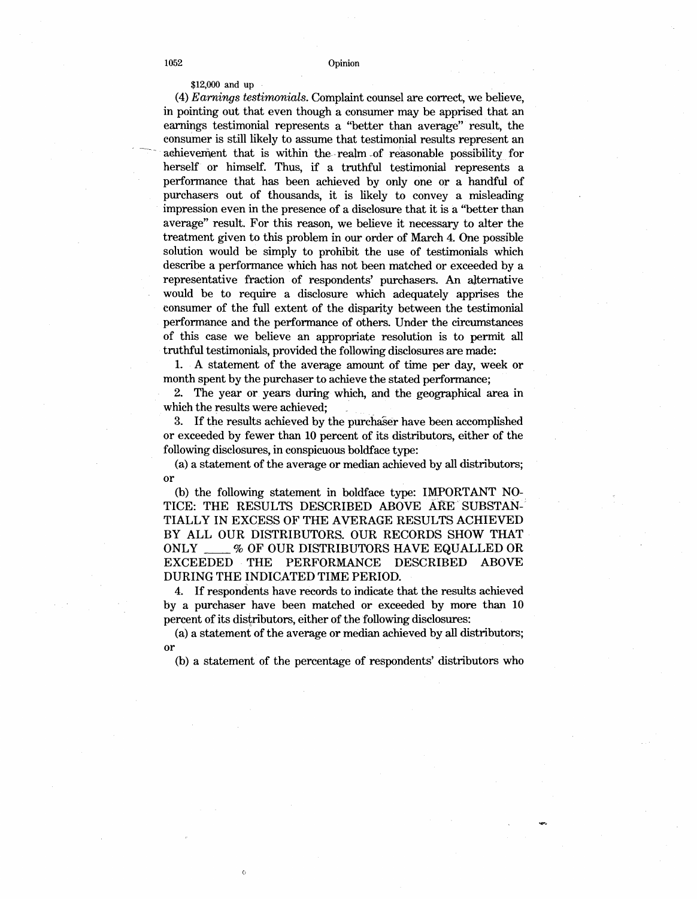\$12,000 and up

(4) *Earnings testirrwnials.* Complaint counsel are correct, we believe, in pointing out that even though a consumer may be apprised that an earnings testimonial represents a "better than average" result, the consumer is still likely to assume that testimonial results represent an achievement that is within the realm of reasonable possibility for herself or himself. Thus, if a truthful testimonial represents a performance that has been achieved by only one or a handful of purchasers out of thousands, it is likely to convey a misleading impression even in the presence of a disclosure that it is a "better than average" result. For this reason, we believe it necessary to alter the treatment given to this problem in our order of March 4. One possible solution would be simply to prohibit the use of testimonials which describe a performance which has not been matched or exceeded by a representative fraction of respondents' purchasers. An alternative would be to require a disclosure which adequately apprises the consumer of the full extent of the disparity between the testimonial performance and the performance of others. Under the circumstances of this case we believe an appropriate resolution is to permit all truthful testimonials, provided the following disclosures are made:

1. A statement of the average amount of time per day, week or month spent by the purchaser to achieve the stated performance;

2. The year or years during which, and the geographical area in which the results were achieved;

3. If the results achieved by the purchaser have been accomplished or exceeded by fewer than 10 percent of its distributors, either of the following disclosures, in conspicuous boldface type:

(a) a statement of the average or median achieved by all distributors; or

(b) the following statement in boldface type: IMPORTANT NO-TICE: THE RESULTS DESCRIBED ABOVE ARE SUBSTAN-TIALLY IN EXCESS OF THE AVERAGE RESULTS ACHIEVED BY ALL OUR DISTRIBUTORS. OUR RECORDS SHOW THAT ONLY \_\_\_\_% OF OUR DISTRIBUTORS HAVE EQUALLED OR EXCEEDED THE PERFORMANCE DESCRIBED ABOVE EXCEEDED THE DURING THE INDICATED TIME PERIOD.

4. If respondents have records to indicate that the results achieved by a purchaser have been matched or exceeded by more than 10 percent of its distributors, either of the following disclosures:

(a) a statement of the average or median achieved by all distributors; or

(b) a statement of the percentage of respondents' distributors who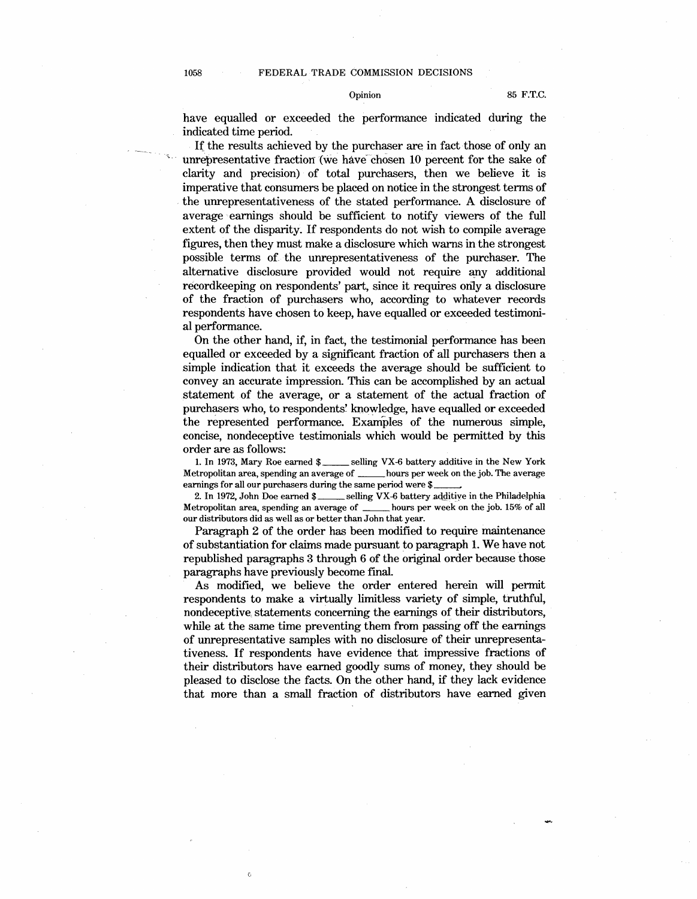# Opinion 85 F.T.C.

have equalled or exceeded the performance indicated during the indicated time period.

If the results achieved by the purchaser are in fact those of only an unrepresentative fraction (we have- chosen 10 percent for the sake of clarity and precision) of total purchasers, then we believe it is imperative that consumers be placed on notice in the strongest terms of . the unrepresentativeness of the stated performance. A disclosure of average earnings should be sufficient to notify viewers of the full extent of the disparity. If respondents do not wish to compile average figures, then they must make a disclosure which warns inthe strongest possible terms of. the unrepresentativeness of the purchaser. The alternative disclosure provided would not require any additional recordkeeping on respondents' part, since it requires orily a disclosure of the fraction of purchasers who, according to whatever records respondents have chosen to keep, have equalled or exceeded testimonial performance.

On the other hand, if, in fact, the testimonial performance has been equalled or exceeded by a significant fraction of all purchasers then a simple indication that it exceeds the average should be sufficient to convey an accurate impression. This can be accomplished by an actual statement of the average, or a statement of the actual fraction of purchasers who, to respondents' knowledge, have equalled or exceeded the represented performance. Examples of the numerous simple, eoncise, nondeceptive testimonials which would be permitted by this order are as follows:

1. In 1973, Mary Roe earned \$ \_\_\_\_\_\_ selling VX-6 battery additive in the New York Metropolitan area, spending an average of \_\_\_\_\_\_ hours per week on the job. The average earnings for all our purchasers during the same period were \$ 2. In 1972, John Doe earned \$

\_selling VX-6 battery additive in the Philadelphia<br>ze of \_\_\_\_\_\_ hours per week on the job. 15% of all Metropolitan area, spending an average of  $\overline{\phantom{a}}$ our distributors did as well as or better than John that year.

Paragraph 2 of the order has been modified to require maintenance of substantiation for claims made pursuant to paragraph 1. We have not republished paragraphs 3 through 6 of the original order because those paragraphs have previously become final.

As modified, we believe the order entered herein will permit respondents to make a virtually limitless variety of simple, truthful, nondeceptive, statements concerning the earnings of their distributors, while at the same time preventing them from passing off the earnings of unrepresentative samples with no disclosure of their unrepresentativeness. If respondents have evidence that impressive fractions of their distributors have earned goodly sums of money, they should be pleased to disclose the facts. On the other hand, if they lack evidence that more than a small fraction of distributors have earned given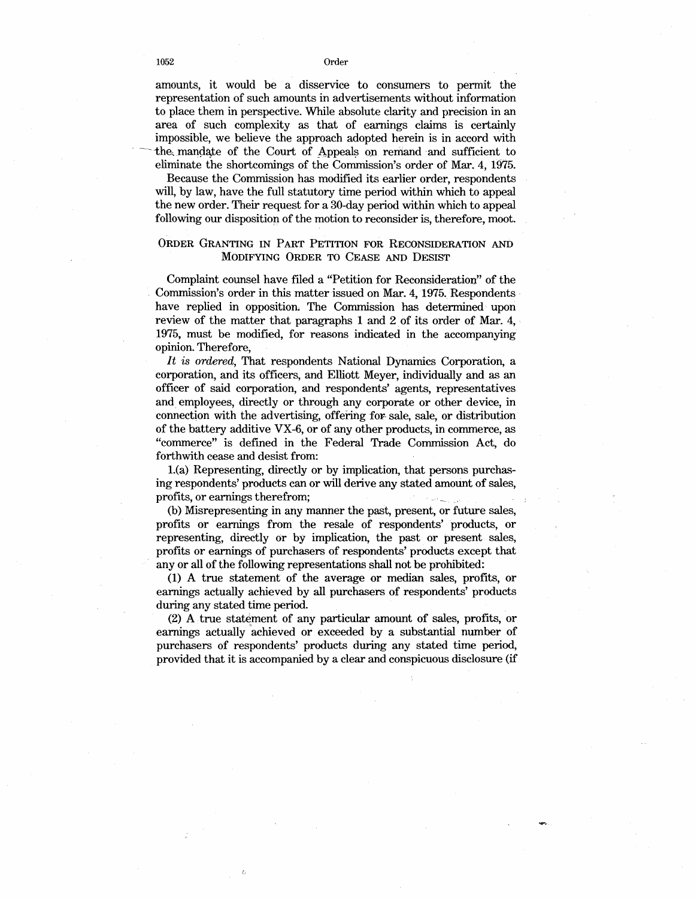1052 Order

amounts, it would be a disservice to consumers to permit the representation of such amounts in advertisements without information to place them in perspective. While absolute clarity and precision in an area of such complexity as that of earnings claims is certainly impossible, we believe the approach adopted herein is in accord with the, mandate of the Court of Appeals on remand and sufficient to eliminate the shortcomings of the Commission's order of Mar. 4, 1975.

Because the Commission has modified its earlier order, respondents will, by law, have the full statutory time period within which to appeal the new order. Their request for a 30-day period within which to appeal following our disposition of the motion to reconsider is, therefore, moot.

# **ORDER GRANTING IN PART PETITION FOR RECONSIDERATION AND MODIFYING ORDER TO CEASE AND DESIST**

Complaint counsel have filed a "Petition for Reconsideration'' of the Commission's order in this matter issued on Mar. 4, 1975. Respondents· have replied in opposition. The Commission has determined upon review of the matter that paragraphs 1 and 2 of its order of Mar. 4, 1975, must be modified, for reasons indicated in the accompanying opinion. Therefore,

*It is ordered,* That respondents National Dynamics Corporation, a corporation, and its officers, and Elliott Meyer, individually and as an officer of said corporation, and respondents' agents, representatives and employees, directly or through any corporate or other device, in connection with the advertising, offering for sale, sale, or distribution of the battery additive VX-6, or of any other products, in commerce, as "commerce" is defined in the Federal Trade Commission Act, do forthwith cease and desist from:

l.(a) Representing, directly or by implication, that persons purchasing respondents' products can or will derive any stated amount of sales, profits, or earnings therefrom; \_ ..

(b) Misrepresenting in any manner the past, present, or future sales, profits or earnings from the resale of respondents' products, or representing, directly or by implication, the past or present sales, profits or earnings of purchasers of respondents' products except that any or all of the following representations shall not be prohibited:

(1) A true statement of the average or median sales, profits, or earnings actually achieved by all purchasers of respondents' products during any stated time period.

(2) A true statement of any particular amount of sales, profits, or earnings actually achieved or exceeded by a substantial number of purchasers of respondents' products during any stated time period, provided that it is accompanied by a clear and conspicuous disclosure (if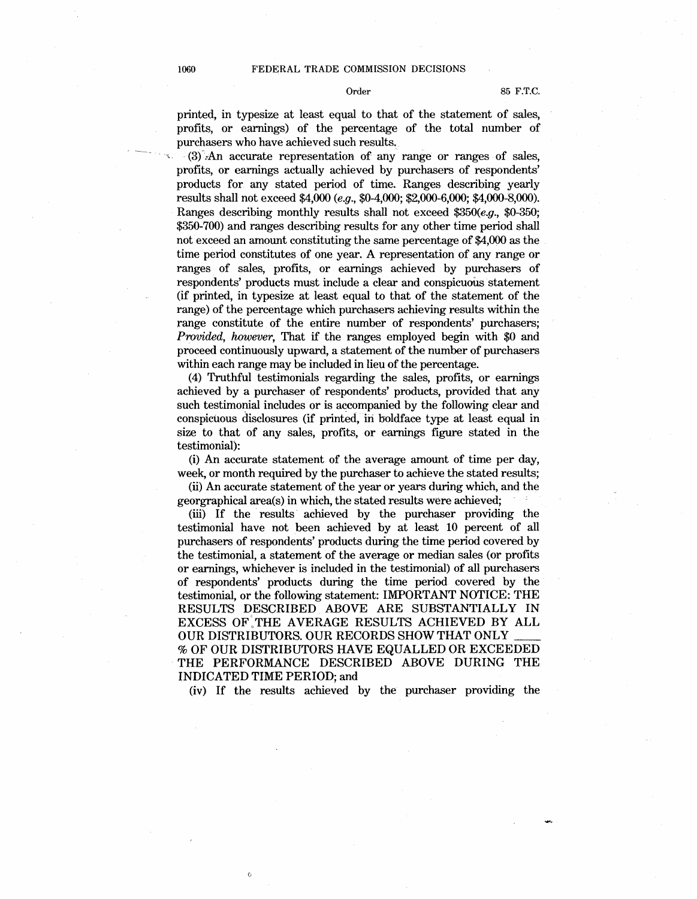printed, in typesize at least equal to that of the statement of sales, profits, or earnings) of the percentage of the total number of purchasers who have achieved such results.

 $(3)$ . An accurate representation of any range or ranges of sales, profits, or earnings actually achieved by purchasers of respondents' products for any stated period of time. Ranges describing yearly results shall not exceed \$4,000 *(e.g.,* \$0-4,000; \$2,000-6,000; \$4,000-8,000). Ranges describing monthly results shall not exceed *\$350(e.g.,* \$0-350; \$350-700) and ranges describing results for any other time period shall not exceed an amount constituting the same percentage of \$4,000 as the time period constitutes of one year. A representation of any range or ranges of sales, profits, or earnings achieved by purchasers of respondents' products must include a clear and conspicuous statement (if printed, in typesize at least equal to that of the statement of the range) of the percentage which purchasers achieving results within the range constitute of the entire number of respondents' purchasers; *Provided, however, That if the ranges employed begin with \$0 and* proceed continuously upward, a statement of the number of purchasers within each range may be included in lieu of the percentage.

(4) Truthful testimonials regarding the sales, profits, or earnings achieved by a purchaser of respondents' products, provided that any such testimonial includes or is accompanied by the following clear and conspicuous disclosures (if printed, iri boldface type at least equal in size to that of any sales, profits, or earnings figure stated in the testimonial):

(i) An accurate statement of the average amount of time per day, week, or month required by the purchaser to achieve the stated results;

(ii) An accurate statement of the year or years during which, and the georgraphical area(s) in which, the stated results were achieved;

(iii) If the results· achieved by the purchaser providing the testimonial have not been achieved by at least 10 percent of all purchasers of respondents' products during the time period covered by the testimonial, a statement of the average or median sales (or profits or earnings, whichever is included in the testimonial) of all purchasers of respondents' products during the time period covered by the testimonial, or the following statement: IMPORTANT NOTICE: THE RESULTS DESCRIBED ABOVE ARE SUBSTANTIALLY IN EXCESS OF:THE AVERAGE RESULTS ACHIEVED BY ALL OUR DISTRIBUTORS. OUR RECORDS SHOW THAT ONLY % OF OUR DISTRIBUTORS HA VE EQUALLED OR EXCEEDED THE PERFORMANCE DESCRIBED ABOVE DURING THE INDICATED TIME PERIOD; and

(iv) If the results achieved by the purchaser providing the

 $\ddot{\rm{o}}$